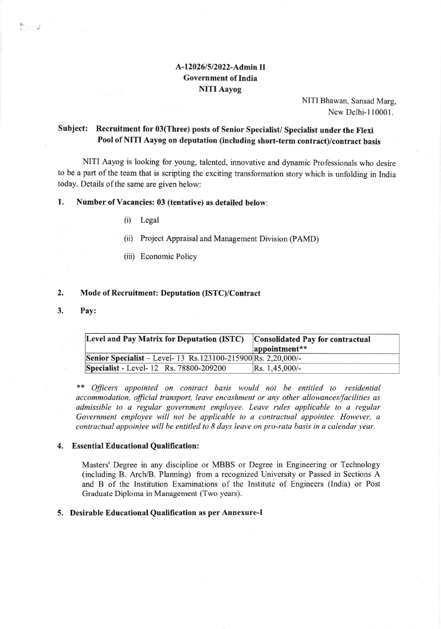# A-12026/5/2022-Admin II Government of India NITI Aayog

NITI Bhawan, Sansad Marg, New Delhi-110001.

# Subject: Recruitment for 03(Three) posts of Senior Specialist/Specialist under the Flexi Pool of NITI Aayog on deputation (including short-term contract)/contract basis

NITI Aayog is looking for young, talented, innovative and dynamic Professionals who desire to be a part of the team that is scripting the exciting transformation story which is unfolding in India today. Details of the same are given below:

# 1. Number of Vacancies: 03 (tentative) as detailed below:

- (i) Legal
- (ii) Project Appraisal and Management Division (PAMD)
- (iii) Economic Policy

#### Mode of Recruitment: Deputation (ISTC)/Contract 2.

Pay: 3.

 $\sum_{i=1}^n\frac{1}{i}$ 

| Level and Pay Matrix for Deputation (ISTC)                    | <b>Consolidated Pay for contractual</b><br>appointment** |
|---------------------------------------------------------------|----------------------------------------------------------|
| Senior Specialist – Level- 13 Rs.123100-215900 Rs. 2,20,000/- |                                                          |
| <b>Specialist</b> - Level-12 Rs. 78800-209200                 | $Rs. 1,45,000/-$                                         |

\*\* Officers appointed on contract basis would not be entitled to residential accommodation, official transport, leave encashment or any other allowances/facilities as admissible to a regular government employee. Leave rules applicable to a regular Government employee will not be applicable to a contractual appointee. However, a contractual appointee will be entitled to 8 days leave on pro-rata basis in a calendar year.

#### 4. Essential Educational Qualification:

Masters' Degree in any discipline or MBBS or Degree in Engineering or Technology (including B. Arch/B. Planning) from a recognized University or Passed in Sections A and B of the lnstitution Examinations of the Institute of Engineers (lndia) or Post Graduate Diploma in Management (Two years).

#### 5. Desirable Educational Qualification as per Annexure-I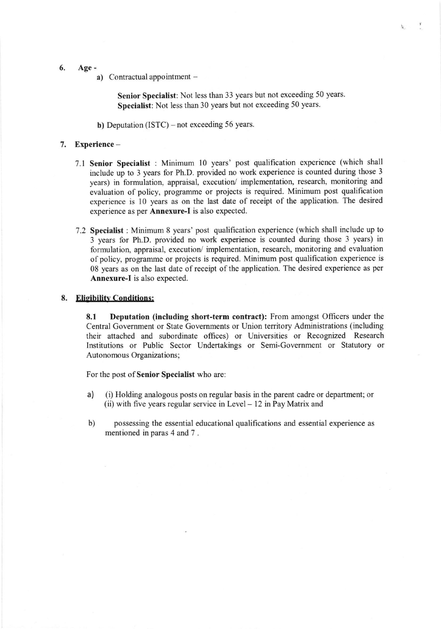- 6. Age
	- a) Contractual appointment -

Senior Specialist: Not less than 33 years but not exceeding 50 years. Specialist: Not less than 30 years but not exceeding 50 years.

 $\frac{1}{R}$  .

b) Deputation (ISTC) – not exceeding 56 years.

#### 7. Experience -

- 7.1 Senior Specialist : Minimum l0 years' post qualification experience (which shall include up to 3 years for Ph.D. provided no work experience is counted during those <sup>3</sup> years) in formulation, appraisal, execution/ implementation, research, monitoring and evaluation of policy, programme or projects is required. Minimum post qualification experience is l0 years as on the last date of receipt of the application. The desired experience as per Annexure-I is also expected.
- 7.2 Specialist : Minimum 8 years'post qualification experience (which shall include up to 3 years for Ph.D. provided no work experience is counted during those 3 years) in formulation, appraisal, executior/ implementation, research, monitoring and evaluation of policy, programme or projects is required. Minimum post qualification experience is 08 years as on the last date of receipt of the application. The desired experience as per Annexure-I is also expected.

# 8. Eligibility Conditions:

8.1 Deputation (including short-term contract): From amongst Officers under the Central Government or State Governments or Union territory Administrations (including their attached and subordinate offices) or Universities or Recognized Research Institutions or Public Scctor Undertakings or Semi-Government or Statutory or Autonomous Organizations;

For the post of Senior Specialist who are:

- a) (i) Holding analogous posts on regular basis in the parent cadre or department; or (ii) with five years regular service in Level  $-12$  in Pay Matrix and
- b) possessing the essential educational qualifications and essential experience as mentioned in paras 4 and 7 .